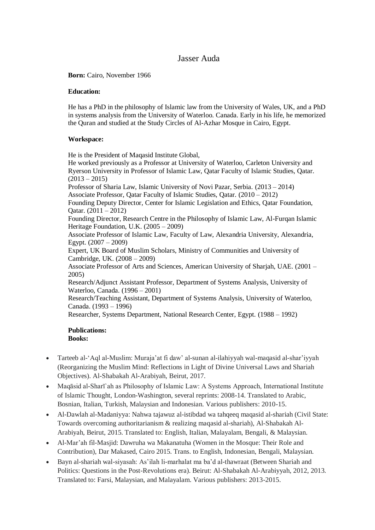# Jasser Auda

**Born:** Cairo, November 1966

## **Education:**

He has a PhD in the philosophy of Islamic law from the University of Wales, UK, and a PhD in systems analysis from the University of Waterloo. Canada. Early in his life, he memorized the Quran and studied at the Study Circles of Al-Azhar Mosque in Cairo, Egypt.

# **Workspace:**

He is the President of Maqasid Institute Global,

He worked previously as a Professor at University of Waterloo, Carleton University and Ryerson University in Professor of Islamic Law, Qatar Faculty of Islamic Studies, Qatar.  $(2013 - 2015)$ 

Professor of Sharia Law, Islamic University of Novi Pazar, Serbia. (2013 – 2014) Associate Professor, Qatar Faculty of Islamic Studies, Qatar. (2010 – 2012) Founding Deputy Director, Center for Islamic Legislation and Ethics, Qatar Foundation, Oatar.  $(2011 - 2012)$ 

Founding Director, Research Centre in the Philosophy of Islamic Law, Al-Furqan Islamic Heritage Foundation, U.K. (2005 – 2009)

Associate Professor of Islamic Law, Faculty of Law, Alexandria University, Alexandria, Egypt. (2007 – 2009)

Expert, UK Board of Muslim Scholars, Ministry of Communities and University of Cambridge, UK. (2008 – 2009)

Associate Professor of Arts and Sciences, American University of Sharjah, UAE. (2001 – 2005)

Research/Adjunct Assistant Professor, Department of Systems Analysis, University of Waterloo, Canada. (1996 – 2001)

Research/Teaching Assistant, Department of Systems Analysis, University of Waterloo, Canada. (1993 – 1996)

Researcher, Systems Department, National Research Center, Egypt. (1988 – 1992)

#### **Publications: Books:**

- 
- Tarteeb al-'Aql al-Muslim: Muraja'at fi daw' al-sunan al-ilahiyyah wal-maqasid al-shar'iyyah (Reorganizing the Muslim Mind: Reflections in Light of Divine Universal Laws and Shariah Objectives). Al-Shabakah Al-Arabiyah, Beirut, 2017.
- Maqāsid al-Sharī`ah as Philosophy of Islamic Law: A Systems Approach, International Institute of Islamic Thought, London-Washington, several reprints: 2008-14. Translated to Arabic, Bosnian, Italian, Turkish, Malaysian and Indonesian. Various publishers: 2010-15.
- Al-Dawlah al-Madaniyya: Nahwa tajawuz al-istibdad wa tahqeeq maqasid al-shariah (Civil State: Towards overcoming authoritarianism & realizing maqasid al-shariah), Al-Shabakah Al-Arabiyah, Beirut, 2015. Translated to: English, Italian, Malayalam, Bengali, & Malaysian.
- Al-Mar'ah fil-Masjid: Dawruha wa Makanatuha (Women in the Mosque: Their Role and Contribution), Dar Makased, Cairo 2015. Trans. to English, Indonesian, Bengali, Malaysian.
- Bayn al-shariah wal-siyasah: As'ilah li-marhalat ma ba'd al-thawraat (Between Shariah and Politics: Questions in the Post-Revolutions era). Beirut: Al-Shabakah Al-Arabiyyah, 2012, 2013. Translated to: Farsi, Malaysian, and Malayalam. Various publishers: 2013-2015.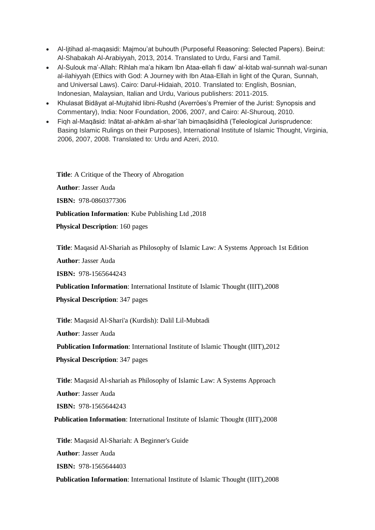- Al-Ijtihad al-maqasidi: Majmou'at buhouth (Purposeful Reasoning: Selected Papers). Beirut: Al-Shabakah Al-Arabiyyah, 2013, 2014. Translated to Urdu, Farsi and Tamil.
- Al-Sulouk ma'-Allah: Rihlah ma'a hikam Ibn Ataa-ellah fi daw' al-kitab wal-sunnah wal-sunan al-ilahiyyah (Ethics with God: A Journey with Ibn Ataa-Ellah in light of the Quran, Sunnah, and Universal Laws). Cairo: Darul-Hidaiah, 2010. Translated to: English, Bosnian, Indonesian, Malaysian, Italian and Urdu, Various publishers: 2011-2015.
- Khulasat Bidāyat al-Mujtahid libni-Rushd (Averröes's Premier of the Jurist: Synopsis and Commentary), India: Noor Foundation, 2006, 2007, and Cairo: Al-Shurouq, 2010.
- Fiqh al-Maqāsid: Inātat al-ahkām al-shar`īah bimaqāsidihā (Teleological Jurisprudence: Basing Islamic Rulings on their Purposes), International Institute of Islamic Thought, Virginia, 2006, 2007, 2008. Translated to: Urdu and Azeri, 2010.

**Title**: A Critique of the Theory of Abrogation **Author**: Jasser Auda **ISBN:** 978-0860377306  **Publication Information**: Kube Publishing Ltd ,2018  **Physical Description**: 160 pages

**Title**: Maqasid Al-Shariah as Philosophy of Islamic Law: A Systems Approach 1st Edition

**Author**: Jasser Auda

**ISBN:** 978-1565644243

 **Publication Information**: International Institute of Islamic Thought (IIIT),2008

 **Physical Description**: 347 pages

**Title**: Maqasid Al-Shari'a (Kurdish): Dalil Lil-Mubtadi

**Author**: Jasser Auda

**Publication Information**: International Institute of Islamic Thought (IIIT),2012

 **Physical Description**: 347 pages

**Title**: Maqasid Al-shariah as Philosophy of Islamic Law: A Systems Approach

**Author**: Jasser Auda

**ISBN:** 978-1565644243

 **Publication Information**: International Institute of Islamic Thought (IIIT),2008

**Title**: Maqasid Al-Shariah: A Beginner's Guide

**Author**: Jasser Auda

**ISBN:** 978-1565644403

 **Publication Information**: International Institute of Islamic Thought (IIIT),2008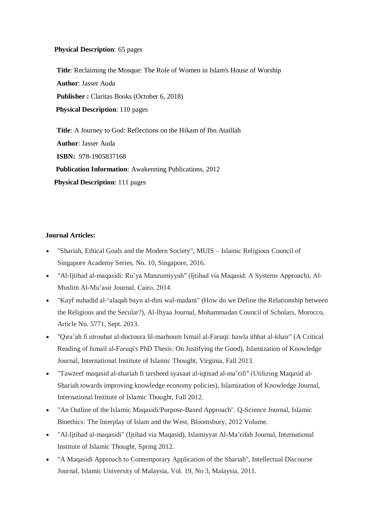## **Physical Description**: 65 pages

**Title**: Reclaiming the Mosque: The Role of Women in Islam's House of Worship **Author**: Jasser Auda **Publisher :** Claritas Books (October 6, 2018)  **Physical Description**: 110 pages

**Title**: A Journey to God: Reflections on the Hikam of Ibn Ataillah **Author**: Jasser Auda **ISBN:** 978-1905837168  **Publication Information**: Awakenning Publications, 2012  **Physical Description**: 111 pages

# **Journal Articles:**

- "Shariah, Ethical Goals and the Modern Society", MUIS Islamic Religious Council of Singapore Academy Series, No. 10, Singapore, 2016.
- "Al-Ijtihad al-maqasidi: Ru'ya Manzumiyyah" (Ijtihad via Maqasid: A Systems Approach), Al-Muslim Al-Mu'asir Journal, Cairo, 2014.
- "Kayf nuhadid al-'alaqah bayn al-dini wal-madani" (How do we Define the Relationship between the Religious and the Secular?), Al-Ihyaa Journal, Mohammadan Council of Scholars, Morocco, Article No. 5771, Sept. 2013.
- "Qira'ah fi utrouhat al-doctoura lil-marhoum Ismail al-Faruqi: hawla ithbat al-khair" (A Critical Reading of Ismail al-Faruqi's PhD Thesis: On Justifying the Good), Islamization of Knowledge Journal, International Institute of Islamic Thought, Virginia, Fall 2013.
- "Tawzeef maqasid al-shariah fi tarsheed syasaat al-iqtisad al-ma'rifi" (Utilizing Maqasid al-Shariah towards improving knowledge economy policies), Islamization of Knowledge Journal, International Institute of Islamic Thought, Fall 2012.
- "An Outline of the Islamic Maqasidi/Purpose-Based Approach". Q-Science Journal, Islamic Bioethics: The Interplay of Islam and the West, Bloomsbury, 2012 Volume.
- "Al-Ijtihad al-maqasidi" (Ijtihad via Maqasid), Islamiyyat Al-Ma'rifah Journal, International Institute of Islamic Thought, Spring 2012.
- "A Maqasidi Approach to Contemporary Application of the Shariah", Intellectual Discourse Journal, Islamic University of Malaysia, Vol. 19, No 3, Malaysia, 2011.